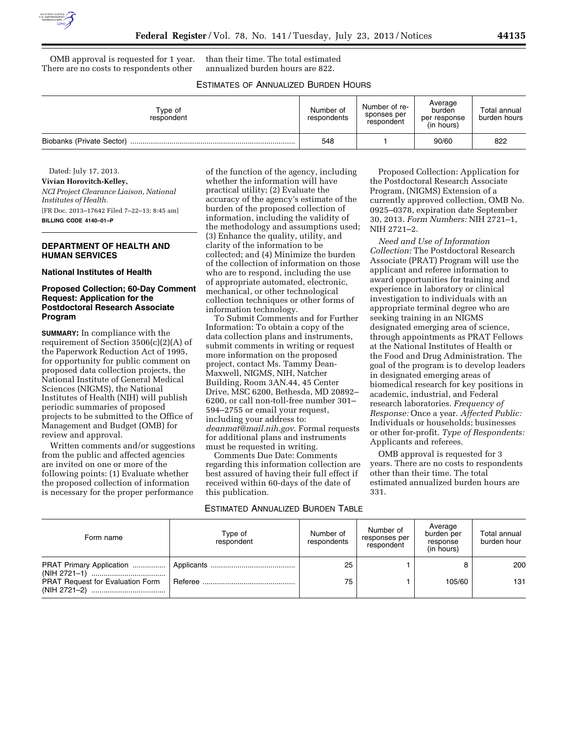

OMB approval is requested for 1 year. There are no costs to respondents other

than their time. The total estimated annualized burden hours are 822.

# ESTIMATES OF ANNUALIZED BURDEN HOURS

| Type of<br>respondent     | Number of<br>respondents | Number of re-<br>sponses per<br>respondent | Average<br>burden<br>per response<br>(in hours) | Total annual<br>burden hours |
|---------------------------|--------------------------|--------------------------------------------|-------------------------------------------------|------------------------------|
| Biobanks (Private Sector) | 548                      |                                            | 90/60                                           | 822                          |

Dated: July 17, 2013. **Vivian Horovitch-Kelley,**  *NCI Project Clearance Liaison, National Institutes of Health.*  [FR Doc. 2013–17642 Filed 7–22–13; 8:45 am] **BILLING CODE 4140–01–P** 

## **DEPARTMENT OF HEALTH AND HUMAN SERVICES**

#### **National Institutes of Health**

## **Proposed Collection; 60-Day Comment Request: Application for the Postdoctoral Research Associate Program**

**SUMMARY:** In compliance with the requirement of Section 3506(c)(2)(A) of the Paperwork Reduction Act of 1995, for opportunity for public comment on proposed data collection projects, the National Institute of General Medical Sciences (NIGMS), the National Institutes of Health (NIH) will publish periodic summaries of proposed projects to be submitted to the Office of Management and Budget (OMB) for review and approval.

Written comments and/or suggestions from the public and affected agencies are invited on one or more of the following points: (1) Evaluate whether the proposed collection of information is necessary for the proper performance

of the function of the agency, including whether the information will have practical utility; (2) Evaluate the accuracy of the agency's estimate of the burden of the proposed collection of information, including the validity of the methodology and assumptions used; (3) Enhance the quality, utility, and clarity of the information to be collected; and (4) Minimize the burden of the collection of information on those who are to respond, including the use of appropriate automated, electronic, mechanical, or other technological collection techniques or other forms of information technology.

To Submit Comments and for Further Information: To obtain a copy of the data collection plans and instruments, submit comments in writing or request more information on the proposed project, contact Ms. Tammy Dean-Maxwell, NIGMS, NIH, Natcher Building, Room 3AN.44, 45 Center Drive, MSC 6200, Bethesda, MD 20892– 6200, or call non-toll-free number 301– 594–2755 or email your request, including your address to: *[deanmat@mail.nih.gov](mailto:deanmat@mail.nih.gov)*. Formal requests for additional plans and instruments must be requested in writing.

Comments Due Date: Comments regarding this information collection are best assured of having their full effect if received within 60-days of the date of this publication.

#### ESTIMATED ANNUALIZED BURDEN TABLE

Proposed Collection: Application for the Postdoctoral Research Associate Program, (NIGMS) Extension of a currently approved collection, OMB No. 0925–0378, expiration date September 30, 2013. *Form Numbers:* NIH 2721–1, NIH 2721–2.

*Need and Use of Information Collection:* The Postdoctoral Research Associate (PRAT) Program will use the applicant and referee information to award opportunities for training and experience in laboratory or clinical investigation to individuals with an appropriate terminal degree who are seeking training in an NIGMS designated emerging area of science, through appointments as PRAT Fellows at the National Institutes of Health or the Food and Drug Administration. The goal of the program is to develop leaders in designated emerging areas of biomedical research for key positions in academic, industrial, and Federal research laboratories. *Frequency of Response:* Once a year. *Affected Public:*  Individuals or households; businesses or other for-profit. *Type of Respondents:*  Applicants and referees.

OMB approval is requested for 3 years. There are no costs to respondents other than their time. The total estimated annualized burden hours are 331.

| Form name                               | Type of<br>respondent | Number of<br>respondents | Number of<br>responses per<br>respondent | Average<br>burden per<br>response<br>(in hours) | Total annual<br>burden hour |
|-----------------------------------------|-----------------------|--------------------------|------------------------------------------|-------------------------------------------------|-----------------------------|
|                                         |                       | 25                       |                                          |                                                 | 200                         |
| <b>PRAT Request for Evaluation Form</b> |                       | 75                       |                                          | 105/60                                          | 131                         |